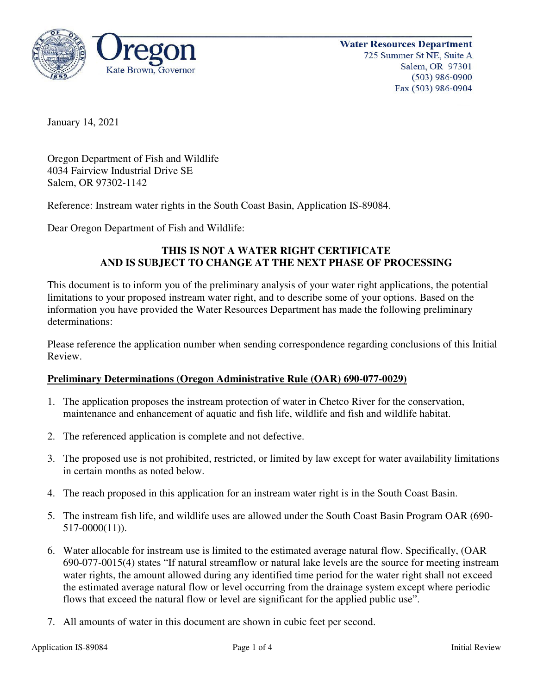

January 14, 2021

Oregon Department of Fish and Wildlife 4034 Fairview Industrial Drive SE Salem, OR 97302-1142

Reference: Instream water rights in the South Coast Basin, Application IS-89084.

Dear Oregon Department of Fish and Wildlife:

# **THIS IS NOT A WATER RIGHT CERTIFICATE AND IS SUBJECT TO CHANGE AT THE NEXT PHASE OF PROCESSING**

This document is to inform you of the preliminary analysis of your water right applications, the potential limitations to your proposed instream water right, and to describe some of your options. Based on the information you have provided the Water Resources Department has made the following preliminary determinations:

Please reference the application number when sending correspondence regarding conclusions of this Initial Review.

## **Preliminary Determinations (Oregon Administrative Rule (OAR) 690-077-0029)**

- 1. The application proposes the instream protection of water in Chetco River for the conservation, maintenance and enhancement of aquatic and fish life, wildlife and fish and wildlife habitat.
- 2. The referenced application is complete and not defective.
- 3. The proposed use is not prohibited, restricted, or limited by law except for water availability limitations in certain months as noted below.
- 4. The reach proposed in this application for an instream water right is in the South Coast Basin.
- 5. The instream fish life, and wildlife uses are allowed under the South Coast Basin Program OAR (690- 517-0000(11)).
- 6. Water allocable for instream use is limited to the estimated average natural flow. Specifically, (OAR 690-077-0015(4) states "If natural streamflow or natural lake levels are the source for meeting instream water rights, the amount allowed during any identified time period for the water right shall not exceed the estimated average natural flow or level occurring from the drainage system except where periodic flows that exceed the natural flow or level are significant for the applied public use".
- 7. All amounts of water in this document are shown in cubic feet per second.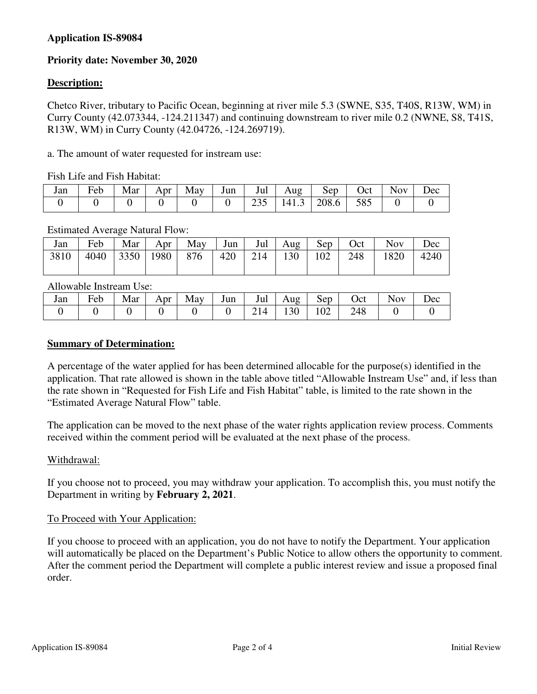## **Application IS-89084**

# **Priority date: November 30, 2020**

## **Description:**

Chetco River, tributary to Pacific Ocean, beginning at river mile 5.3 (SWNE, S35, T40S, R13W, WM) in Curry County (42.073344, -124.211347) and continuing downstream to river mile 0.2 (NWNE, S8, T41S, R13W, WM) in Curry County (42.04726, -124.269719).

a. The amount of water requested for instream use:

Fish Life and Fish Habitat:

| Jan | <b>TI</b> 1<br>Feb | Mar | Apr $\vert$ | May | Jun | Jul | Aug  | $Sep$ | Oct | Nov | <b>Dec</b> |
|-----|--------------------|-----|-------------|-----|-----|-----|------|-------|-----|-----|------------|
|     |                    |     |             |     |     |     | 1413 | 208.6 | 585 |     |            |

#### Estimated Average Natural Flow:

| Jan  | Feb  | Mar | Apr $\vert$ | $\overline{May}$ Jun   Jul   Aug   $\overline{G}$               |  | $\mathbf{Sep}$ | Oct | <b>Nov</b> | Dec  |
|------|------|-----|-------------|-----------------------------------------------------------------|--|----------------|-----|------------|------|
| 3810 | 4040 |     |             | $\vert 3350 \vert 1980 \vert 876 \vert 420 \vert 214 \vert 130$ |  | 102            | 248 | 1820       | 4240 |

Allowable Instream Use:

| Jan | Feb | Mar | Apr | May | Jun | Jul             | Aug | Sep | Oct | <b>Nov</b> | $\iota$ ec |
|-----|-----|-----|-----|-----|-----|-----------------|-----|-----|-----|------------|------------|
|     |     |     |     |     |     | $\mathbf{14}$ . | 130 | 102 | 248 |            |            |

#### **Summary of Determination:**

A percentage of the water applied for has been determined allocable for the purpose(s) identified in the application. That rate allowed is shown in the table above titled "Allowable Instream Use" and, if less than the rate shown in "Requested for Fish Life and Fish Habitat" table, is limited to the rate shown in the "Estimated Average Natural Flow" table.

The application can be moved to the next phase of the water rights application review process. Comments received within the comment period will be evaluated at the next phase of the process.

#### Withdrawal:

If you choose not to proceed, you may withdraw your application. To accomplish this, you must notify the Department in writing by **February 2, 2021**.

#### To Proceed with Your Application:

If you choose to proceed with an application, you do not have to notify the Department. Your application will automatically be placed on the Department's Public Notice to allow others the opportunity to comment. After the comment period the Department will complete a public interest review and issue a proposed final order.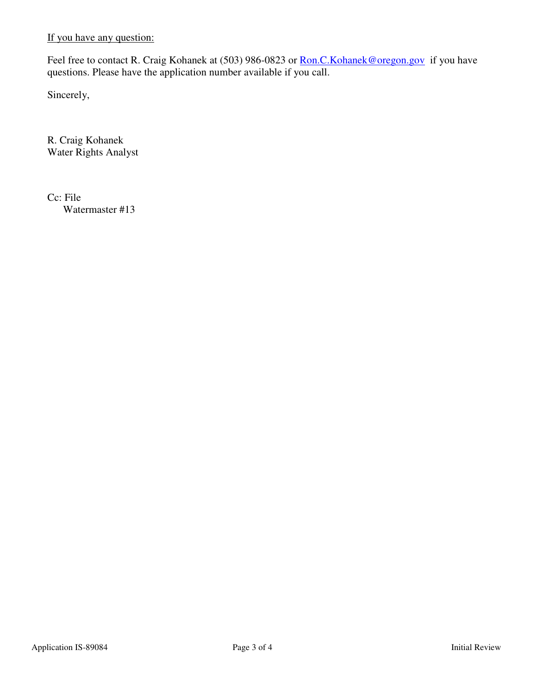If you have any question:

Feel free to contact R. Craig Kohanek at (503) 986-0823 or Ron.C. Kohanek@oregon.gov if you have questions. Please have the application number available if you call.

Sincerely,

R. Craig Kohanek Water Rights Analyst

Cc: File Watermaster #13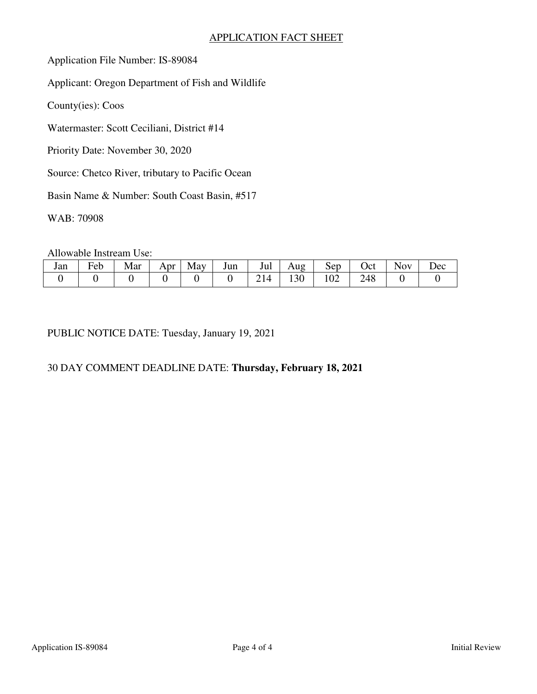## APPLICATION FACT SHEET

Application File Number: IS-89084

Applicant: Oregon Department of Fish and Wildlife

County(ies): Coos

Watermaster: Scott Ceciliani, District #14

Priority Date: November 30, 2020

Source: Chetco River, tributary to Pacific Ocean

Basin Name & Number: South Coast Basin, #517

WAB: 70908

Allowable Instream Use:

| Jan | $\mathbf{r}$<br>Feb | Mar | Apr | May | Jun | Jul | Aug   | Sep             | Jct - | Nov | $\bm{\mathcal{C}}$ |
|-----|---------------------|-----|-----|-----|-----|-----|-------|-----------------|-------|-----|--------------------|
|     |                     |     |     |     |     |     | 1 J U | $\Omega$<br>102 | ∠⊤∪   |     |                    |

PUBLIC NOTICE DATE: Tuesday, January 19, 2021

# 30 DAY COMMENT DEADLINE DATE: **Thursday, February 18, 2021**